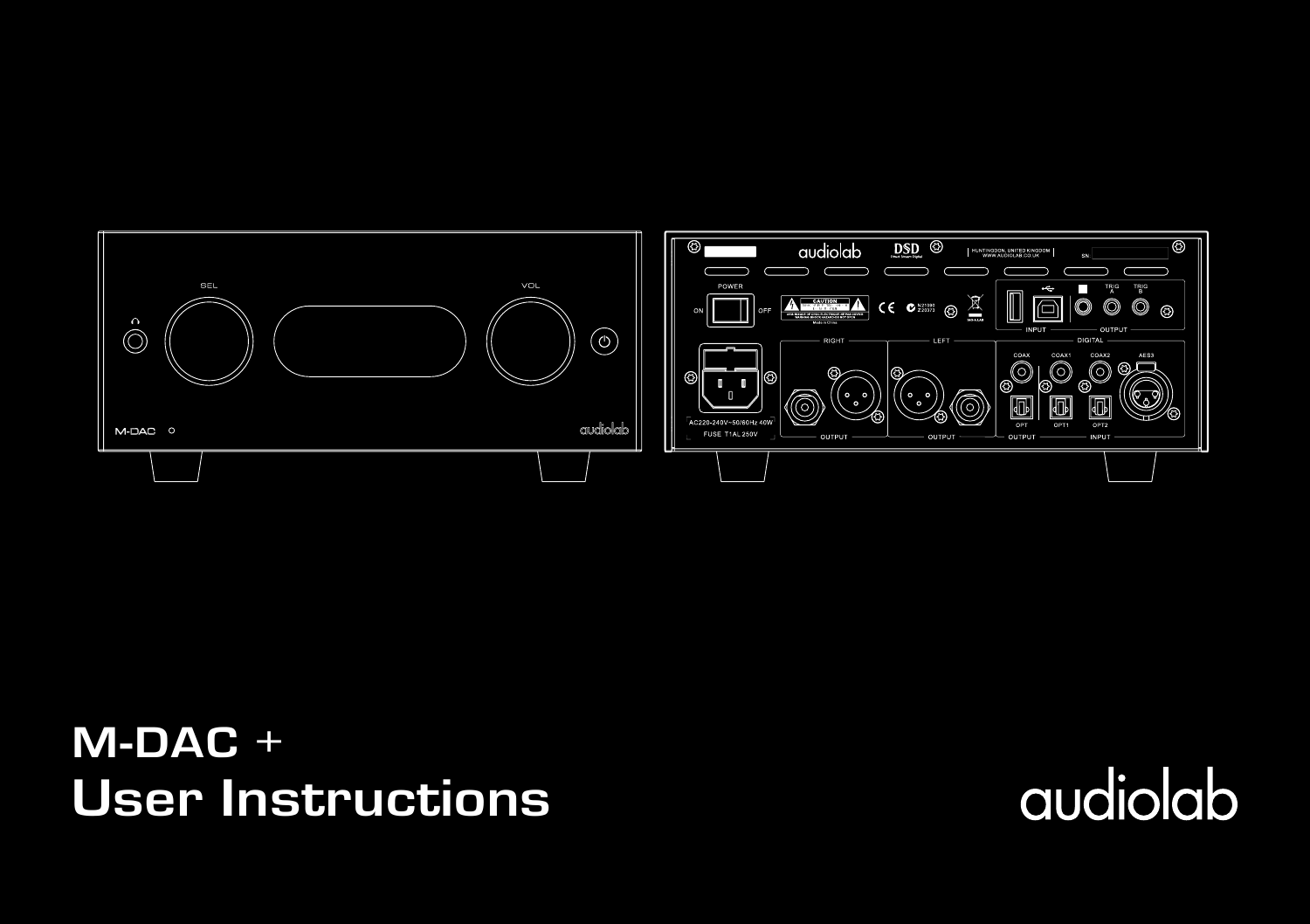

**User Instructions M-DAC +** 

audiolab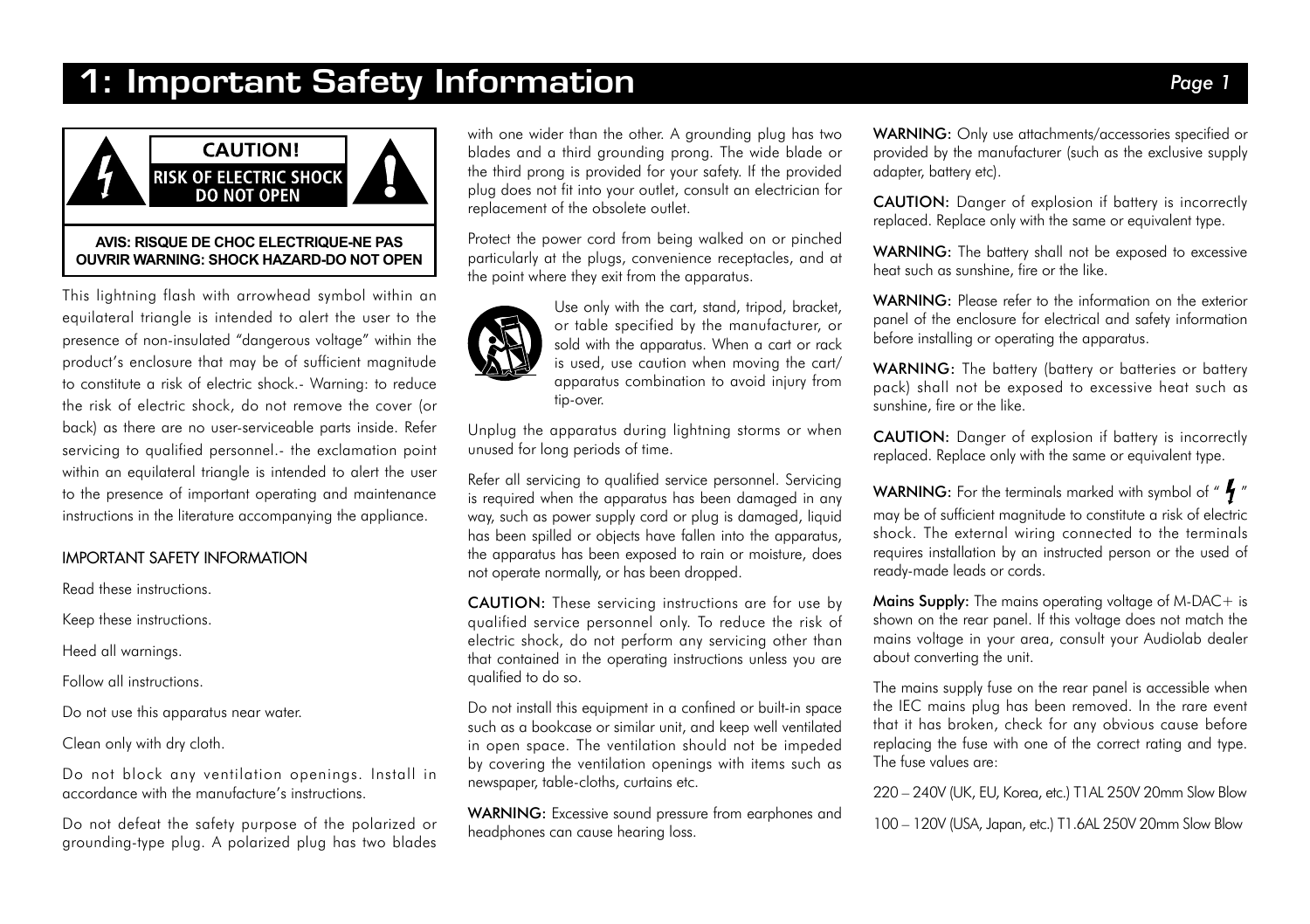### 1: Important Safety Information *Page 1*



This lightning flash with arrowhead symbol within an equilateral triangle is intended to alert the user to the presence of non-insulated "dangerous voltage" within the product's enclosure that may be of sufficient magnitude to constitute a risk of electric shock.- Warning: to reduce the risk of electric shock, do not remove the cover (or back) as there are no user-serviceable parts inside. Refer servicing to qualified personnel.- the exclamation point within an equilateral triangle is intended to alert the user to the presence of important operating and maintenance instructions in the literature accompanying the appliance.

#### IMPORTANT SAFETY INFORMATION

Read these instructions.

Keep these instructions.

Heed all warnings.

Follow all instructions.

Do not use this apparatus near water.

Clean only with dry cloth.

Do not block any ventilation openings. Install in accordance with the manufacture's instructions.

Do not defeat the safety purpose of the polarized or grounding-type plug. A polarized plug has two blades

with one wider than the other. A grounding plug has two blades and a third grounding prong. The wide blade or the third prong is provided for your safety. If the provided plug does not fit into your outlet, consult an electrician for replacement of the obsolete outlet.

Protect the power cord from being walked on or pinched particularly at the plugs, convenience receptacles, and at the point where they exit from the apparatus.



Use only with the cart, stand, tripod, bracket, or table specified by the manufacturer, or sold with the apparatus. When a cart or rack is used, use caution when moving the cart/ apparatus combination to avoid injury from tip-over.

Unplug the apparatus during lightning storms or when unused for long periods of time.

Refer all servicing to qualified service personnel. Servicing is required when the apparatus has been damaged in any way, such as power supply cord or plug is damaged, liquid has been spilled or objects have fallen into the apparatus, the apparatus has been exposed to rain or moisture, does not operate normally, or has been dropped.

CAUTION: These servicing instructions are for use by qualified service personnel only. To reduce the risk of electric shock, do not perform any servicing other than that contained in the operating instructions unless you are qualified to do so.

Do not install this equipment in a confined or built-in space such as a bookcase or similar unit, and keep well ventilated in open space. The ventilation should not be impeded by covering the ventilation openings with items such as newspaper, table-cloths, curtains etc.

WARNING: Excessive sound pressure from earphones and headphones can cause hearing loss.

WARNING: Only use attachments/accessories specified or provided by the manufacturer (such as the exclusive supply adapter, battery etc).

CAUTION: Danger of explosion if battery is incorrectly replaced. Replace only with the same or equivalent type.

WARNING: The battery shall not be exposed to excessive heat such as sunshine, fire or the like.

WARNING: Please refer to the information on the exterior panel of the enclosure for electrical and safety information before installing or operating the apparatus.

WARNING: The battery (battery or batteries or battery pack) shall not be exposed to excessive heat such as sunshine, fire or the like.

CAUTION: Danger of explosion if battery is incorrectly replaced. Replace only with the same or equivalent type.

**WARNING:** For the terminals marked with symbol of " $\frac{1}{2}$ "

may be of sufficient magnitude to constitute a risk of electric shock. The external wiring connected to the terminals requires installation by an instructed person or the used of ready-made leads or cords.

**Mains Supply:** The mains operating voltage of M-DAC + is shown on the rear panel. If this voltage does not match the mains voltage in your area, consult your Audiolab dealer about converting the unit.

The mains supply fuse on the rear panel is accessible when the IEC mains plug has been removed. In the rare event that it has broken, check for any obvious cause before replacing the fuse with one of the correct rating and type. The fuse values are:

220 – 240V (UK, EU, Korea, etc.) T1AL 250V 20mm Slow Blow

100 – 120V (USA, Japan, etc.) T1.6AL 250V 20mm Slow Blow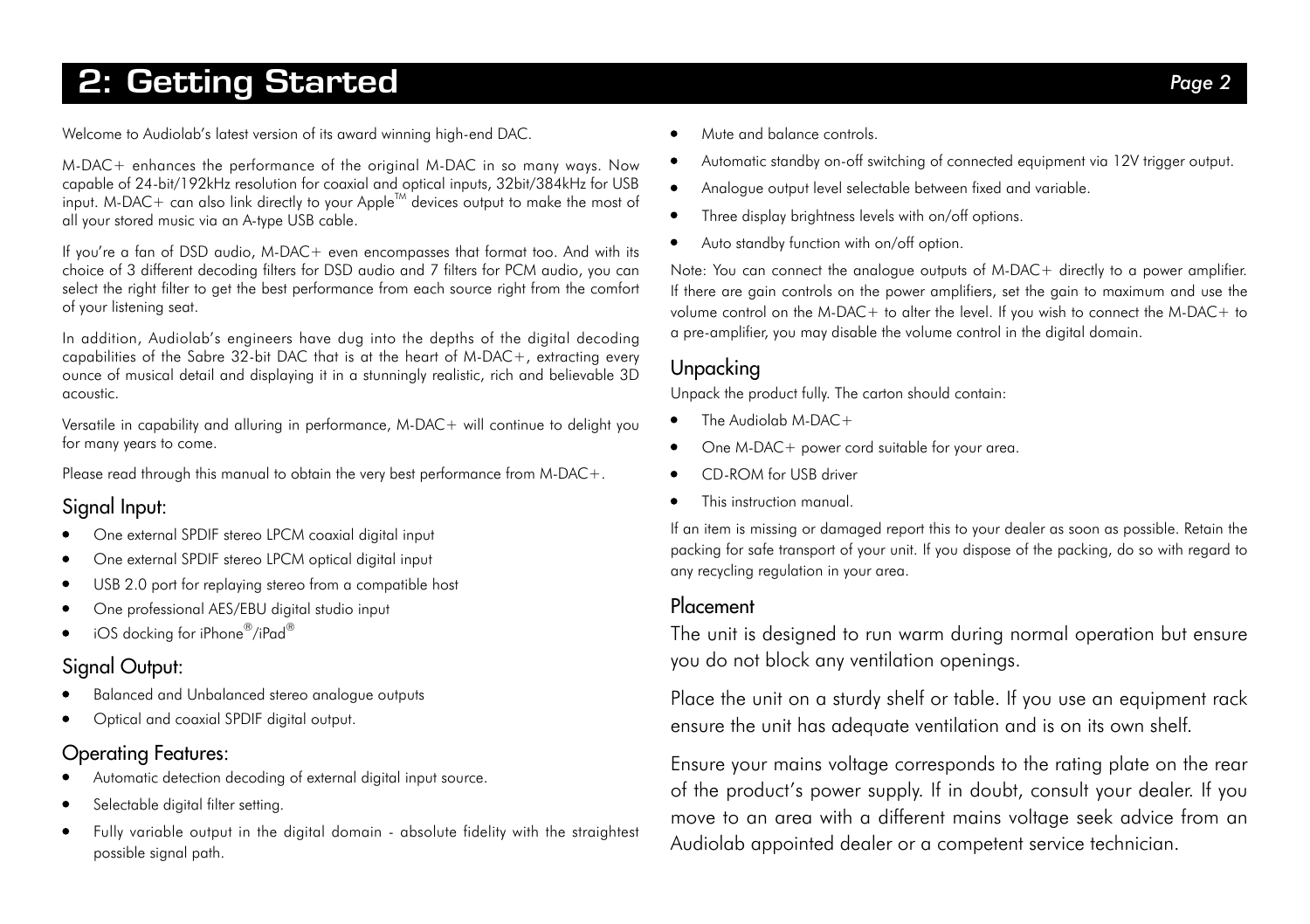### 2: Getting Started *Page 2*

Welcome to Audiolab's latest version of its award winning high-end DAC.

M-DAC+ enhances the performance of the original M-DAC in so many ways. Now capable of 24-bit/192kHz resolution for coaxial and optical inputs, 32bit/384kHz for USB input. M-DAC+ can also link directly to your AppleTM devices output to make the most of all your stored music via an A-type USB cable.

If you're a fan of DSD audio, M-DAC+ even encompasses that format too. And with its choice of 3 different decoding filters for DSD audio and 7 filters for PCM audio, you can select the right filter to get the best performance from each source right from the comfort of your listening seat.

In addition, Audiolab's engineers have dug into the depths of the digital decoding capabilities of the Sabre 32-bit DAC that is at the heart of M-DAC+, extracting every ounce of musical detail and displaying it in a stunningly realistic, rich and believable 3D acoustic.

Versatile in capability and alluring in performance, M-DAC+ will continue to delight you for many years to come.

Please read through this manual to obtain the very best performance from M-DAC+.

### Signal Input:

- One external SPDIF stereo LPCM coaxial digital input  $\bullet$
- One external SPDIF stereo LPCM optical digital input  $\bullet$
- USB 2.0 port for replaying stereo from a compatible host  $\bullet$
- One professional AES/EBU digital studio input  $\bullet$
- iOS docking for iPhone®/iPad®  $\bullet$

### Signal Output:

- Balanced and Unbalanced stereo analogue outputs
- Optical and coaxial SPDIF digital output.

#### Operating Features:

- Automatic detection decoding of external digital input source.
- Selectable digital filter setting.
- Fully variable output in the digital domain absolute fidelity with the straightest  $\bullet$ possible signal path.
- Mute and balance controls.
- Automatic standby on-off switching of connected equipment via 12V trigger output.
- Analogue output level selectable between fixed and variable.  $\bullet$
- Three display brightness levels with on/off options.  $\bullet$
- Auto standby function with on/off option.  $\bullet$

Note: You can connect the analogue outputs of M-DAC+ directly to a power amplifier. If there are gain controls on the power amplifiers, set the gain to maximum and use the volume control on the M-DAC+ to alter the level. If you wish to connect the M-DAC+ to a pre-amplifier, you may disable the volume control in the digital domain.

### Unpacking

Unpack the product fully. The carton should contain:

- The Audiolab  $M$ -DAC +
- $\bullet$ One M-DAC+ power cord suitable for your area.
- CD-ROM for USB driver
- This instruction manual.  $\bullet$

If an item is missing or damaged report this to your dealer as soon as possible. Retain the packing for safe transport of your unit. If you dispose of the packing, do so with regard to any recycling regulation in your area.

#### Placement

The unit is designed to run warm during normal operation but ensure you do not block any ventilation openings.

Place the unit on a sturdy shelf or table. If you use an equipment rack ensure the unit has adequate ventilation and is on its own shelf.

Ensure your mains voltage corresponds to the rating plate on the rear of the product's power supply. If in doubt, consult your dealer. If you move to an area with a different mains voltage seek advice from an Audiolab appointed dealer or a competent service technician.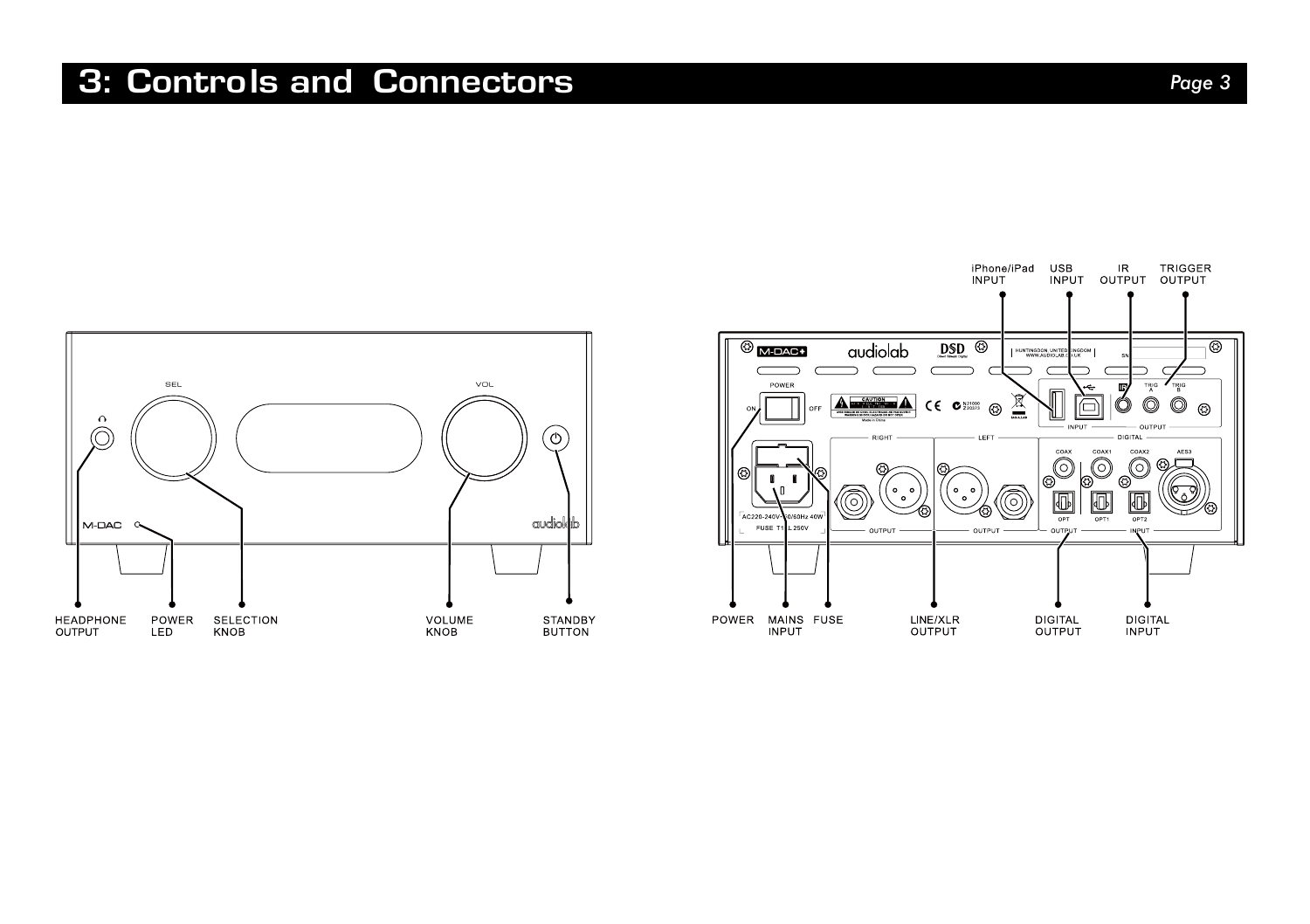### 3: Controls and Connectors *Page 3*



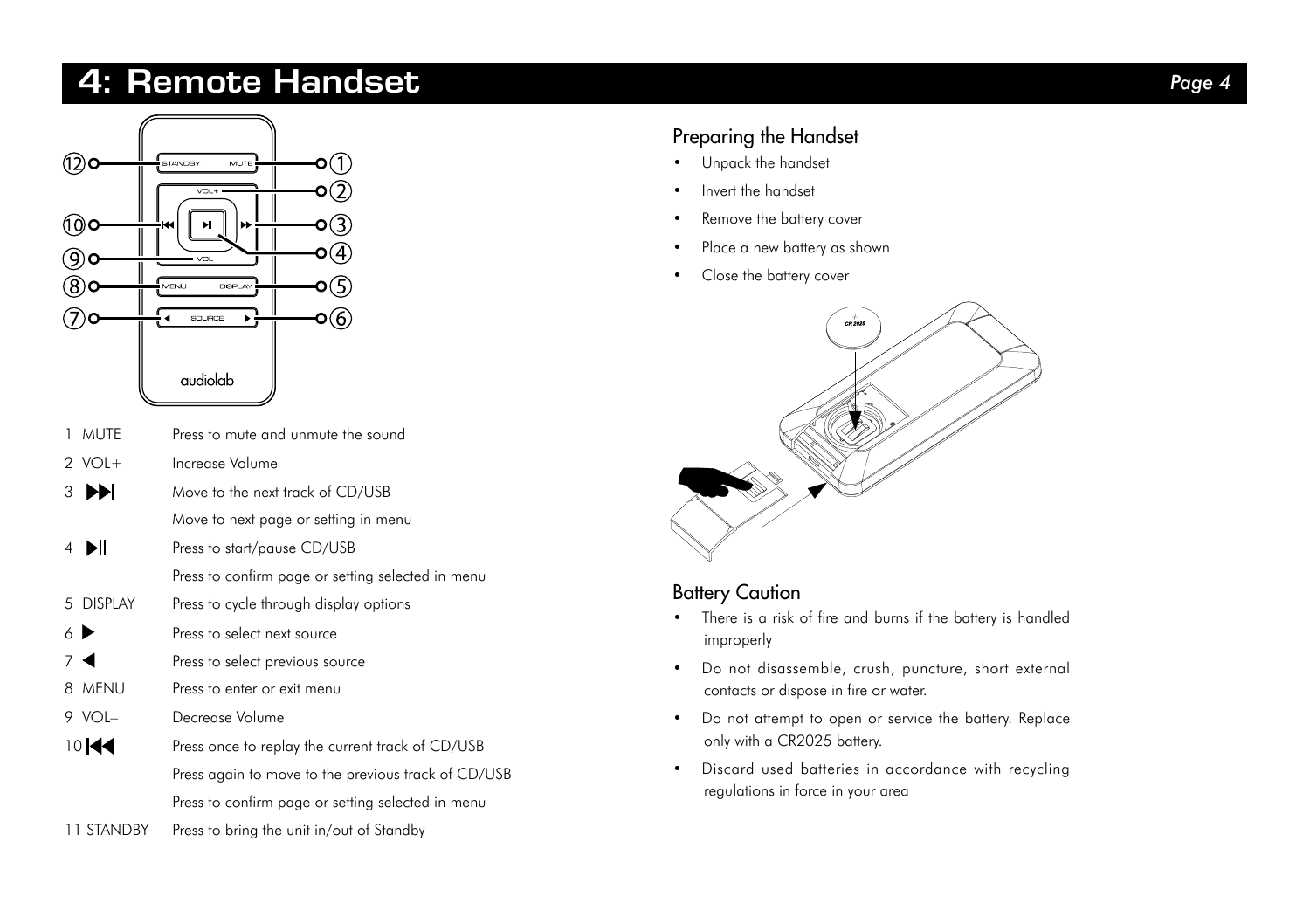### 4: Remote Handset *Page 4*



- 1 MUTE Press to mute and unmute the sound
- $2 \text{ VOL}$  Increase Volume
- 3 Move to the next track of CD/USB Move to next page or setting in menu
- 4 **Press to start/pause CD/USB** 
	- Press to confirm page or setting selected in menu
- 5 DISPLAY Press to cycle through display options
- 6 Press to select next source
- 7 Press to select previous source
- 8 MENU Press to enter or exit menu
- 9 VOL– Decrease Volume
- 10 **44** Press once to replay the current track of CD/USB Press again to move to the previous track of CD/USB Press to confirm page or setting selected in menu
- 11 STANDBY Press to bring the unit in/out of Standby

#### Preparing the Handset

- Unpack the handset
- Invert the handset
- Remove the battery cover
- Place a new battery as shown
- Close the battery cover



#### Battery Caution

- There is a risk of fire and burns if the battery is handled improperly
- Do not disassemble, crush, puncture, short external contacts or dispose in fire or water.
- Do not attempt to open or service the battery. Replace only with a CR2025 battery.
- Discard used batteries in accordance with recycling regulations in force in your area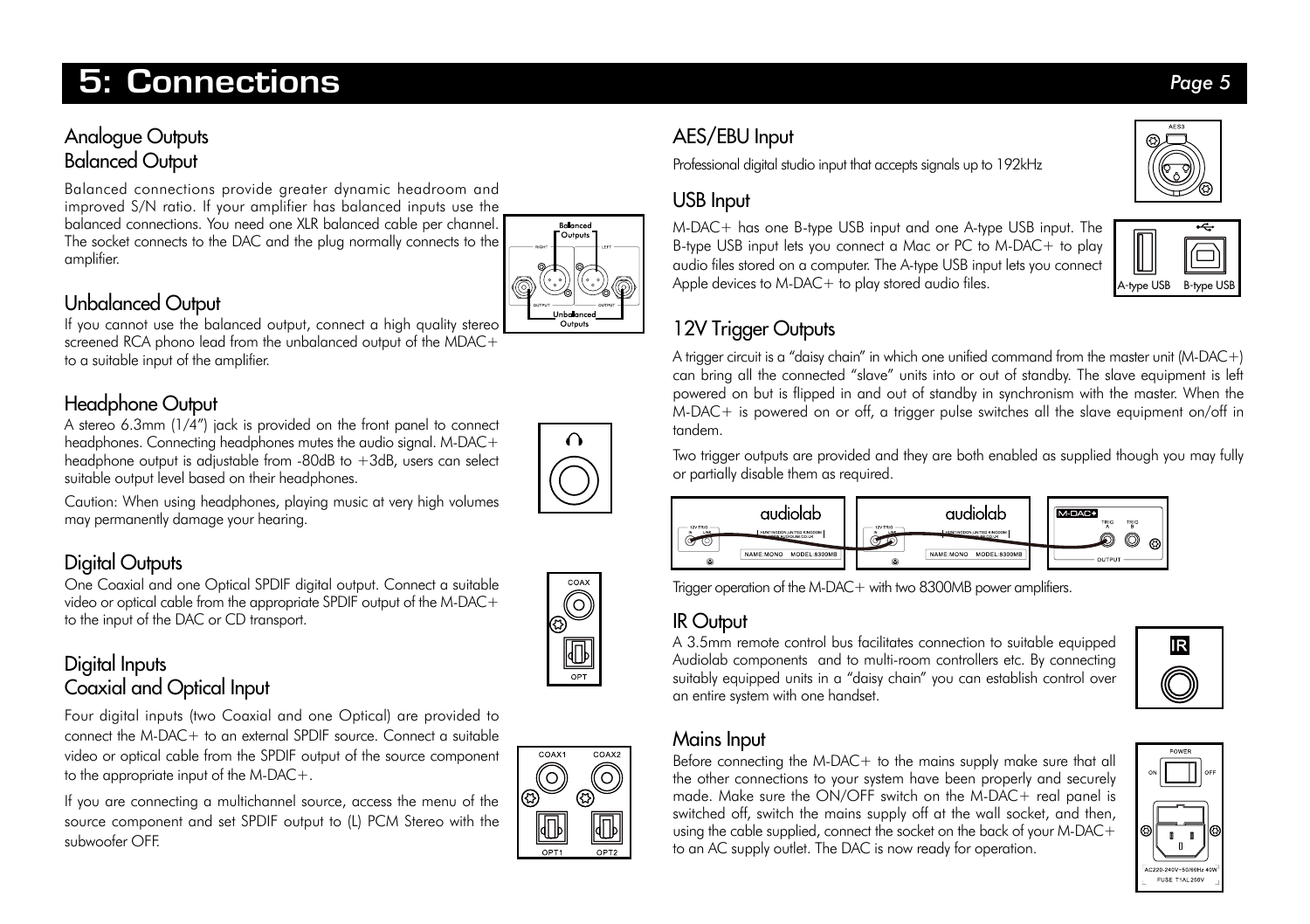### 5: Connections *Page 5*

### Analogue Outputs Balanced Output

Balanced connections provide greater dynamic headroom and improved S/N ratio. If your amplifier has balanced inputs use the balanced connections. You need one XLR balanced cable per channel. The socket connects to the DAC and the plug normally connects to the amplifier.

### Unbalanced Output

If you cannot use the balanced output, connect a high quality stereo screened RCA phono lead from the unbalanced output of the MDAC+ to a suitable input of the amplifier.

### Headphone Output

A stereo 6.3mm (1/4") jack is provided on the front panel to connect headphones. Connecting headphones mutes the audio signal. M-DAC+ headphone output is adjustable from  $-80$ dB to  $+3$ dB, users can select suitable output level based on their headphones.

Caution: When using headphones, playing music at very high volumes may permanently damage your hearing.

### Digital Outputs

One Coaxial and one Optical SPDIF digital output. Connect a suitable video or optical cable from the appropriate SPDIF output of the M-DAC+ to the input of the DAC or CD transport.



Four digital inputs (two Coaxial and one Optical) are provided to connect the M-DAC+ to an external SPDIF source. Connect a suitable video or optical cable from the SPDIF output of the source component to the appropriate input of the M-DAC+.

If you are connecting a multichannel source, access the menu of the source component and set SPDIF output to (L) PCM Stereo with the subwoofer OFF.



### AES/EBU Input

Professional digital studio input that accepts signals up to 192kHz

### USB Input

M-DAC+ has one B-type USB input and one A-type USB input. The B-type USB input lets you connect a Mac or PC to M-DAC+ to play audio files stored on a computer. The A-type USB input lets you connect Apple devices to M-DAC+ to play stored audio files.

### 12V Trigger Outputs

A trigger circuit is a "daisy chain" in which one unified command from the master unit (M-DAC+) can bring all the connected "slave" units into or out of standby. The slave equipment is left powered on but is flipped in and out of standby in synchronism with the master. When the M-DAC+ is powered on or off, a trigger pulse switches all the slave equipment on/off in tandem.

Two trigger outputs are provided and they are both enabled as supplied though you may fully or partially disable them as required.



Trigger operation of the M-DAC+ with two 8300MB power amplifiers.

### IR Output

A 3.5mm remote control bus facilitates connection to suitable equipped Audiolab components and to multi-room controllers etc. By connecting suitably equipped units in a "daisy chain" you can establish control over an entire system with one handset.

# **IR**

#### Mains Input

Before connecting the M-DAC+ to the mains supply make sure that all the other connections to your system have been properly and securely made. Make sure the ON/OFF switch on the M-DAC+ real panel is switched off, switch the mains supply off at the wall socket, and then, using the cable supplied, connect the socket on the back of your M-DAC+ to an AC supply outlet. The DAC is now ready for operation.





A-type USB B-type US



Balanced Outputs

Outputs

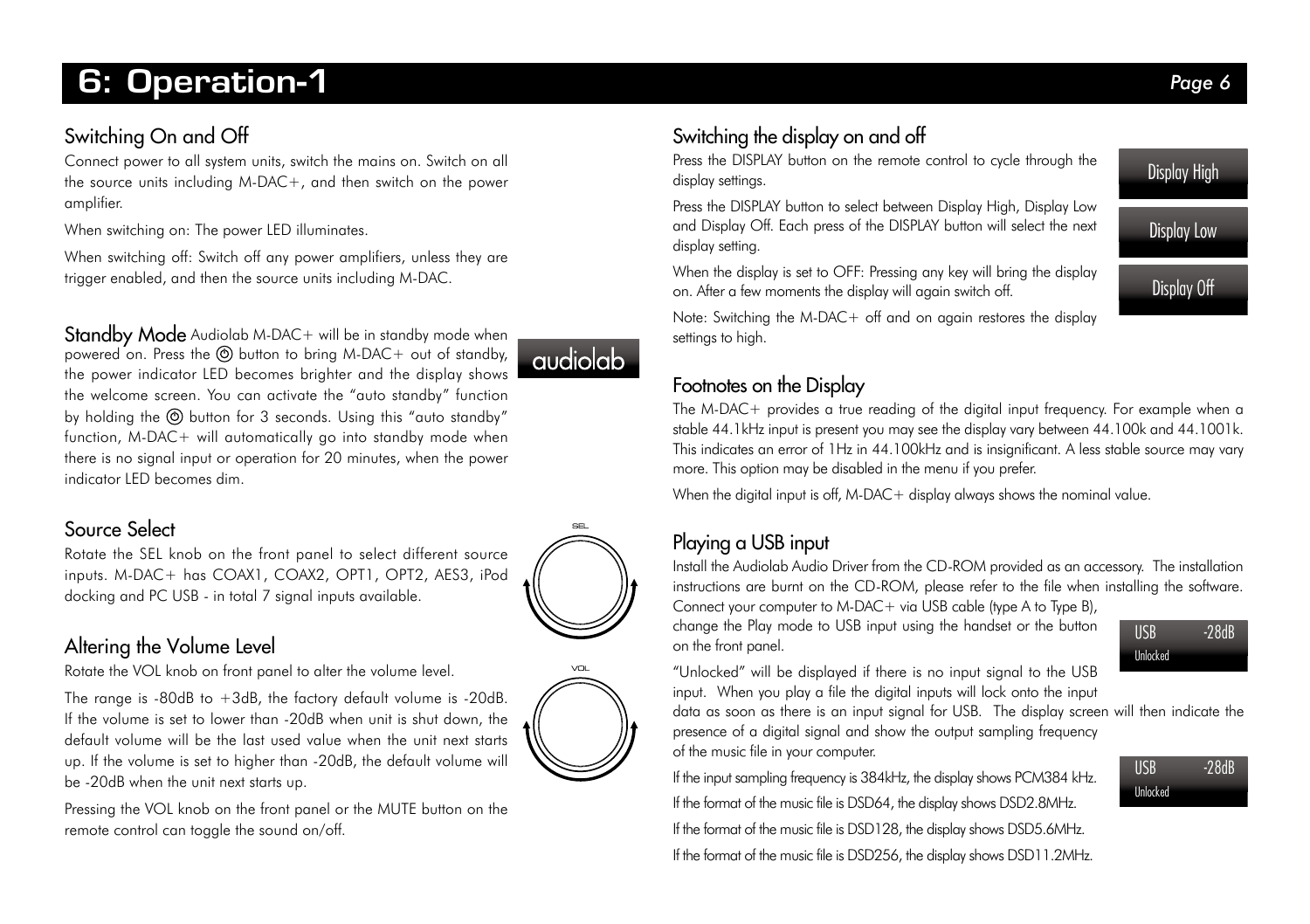### 6: Operation-1 *Page 6*

### Switching On and Off

Connect power to all system units, switch the mains on. Switch on all the source units including M-DAC+, and then switch on the power amplifier.

When switching on: The power LED illuminates.

When switching off: Switch off any power amplifiers, unless they are trigger enabled, and then the source units including M-DAC.

Standby Mode Audiolab M-DAC+ will be in standby mode when powered on. Press the  $\odot$  button to bring M-DAC+ out of standby, the power indicator LED becomes brighter and the display shows the welcome screen. You can activate the "auto standby" function by holding the  $\textcircled{9}$  button for 3 seconds. Using this "auto standby" function, M-DAC+ will automatically go into standby mode when there is no signal input or operation for 20 minutes, when the power indicator LED becomes dim.

## *audiolab*

### Source Select

Rotate the SEL knob on the front panel to select different source inputs. M-DAC+ has COAX1, COAX2, OPT1, OPT2, AES3, iPod docking and PC USB - in total 7 signal inputs available.

#### Altering the Volume Level

Rotate the VOL knob on front panel to alter the volume level.

The range is -80dB to +3dB, the factory default volume is -20dB. If the volume is set to lower than -20dB when unit is shut down, the default volume will be the last used value when the unit next starts up. If the volume is set to higher than -20dB, the default volume will be -20dB when the unit next starts up.



Pressing the VOL knob on the front panel or the MUTE button on the remote control can toggle the sound on/off.

### Switching the display on and off

Press the DISPLAY button on the remote control to cycle through the display settings.

Press the DISPLAY button to select between Display High, Display Low and Display Off. Each press of the DISPLAY button will select the next display setting.

When the display is set to OFF: Pressing any key will bring the display on. After a few moments the display will again switch off.

Note: Switching the M-DAC+ off and on again restores the display settings to high.

### Footnotes on the Display

The M-DAC+ provides a true reading of the digital input frequency. For example when a stable 44.1kHz input is present you may see the display vary between 44.100k and 44.1001k. This indicates an error of 1Hz in 44.100kHz and is insignificant. A less stable source may vary more. This option may be disabled in the menu if you prefer.

When the digital input is off, M-DAC+ display always shows the nominal value.

### Playing a USB input

Install the Audiolab Audio Driver from the CD-ROM provided as an accessory. The installation instructions are burnt on the CD-ROM, please refer to the file when installing the software. Connect your computer to M-DAC+ via USB cable (type A to Type B),

change the Play mode to USB input using the handset or the button on the front panel.



USB -28dB Unlocked

"Unlocked" will be displayed if there is no input signal to the USB input. When you play a file the digital inputs will lock onto the input

data as soon as there is an input signal for USB. The display screen will then indicate the presence of a digital signal and show the output sampling frequency of the music file in your computer.

If the input sampling frequency is 384kHz, the display shows PCM384 kHz. If the format of the music file is DSD64, the display shows DSD2.8MHz.

If the format of the music file is DSD128, the display shows DSD5.6MHz.

If the format of the music file is DSD256, the display shows DSD11.2MHz.





**SEL**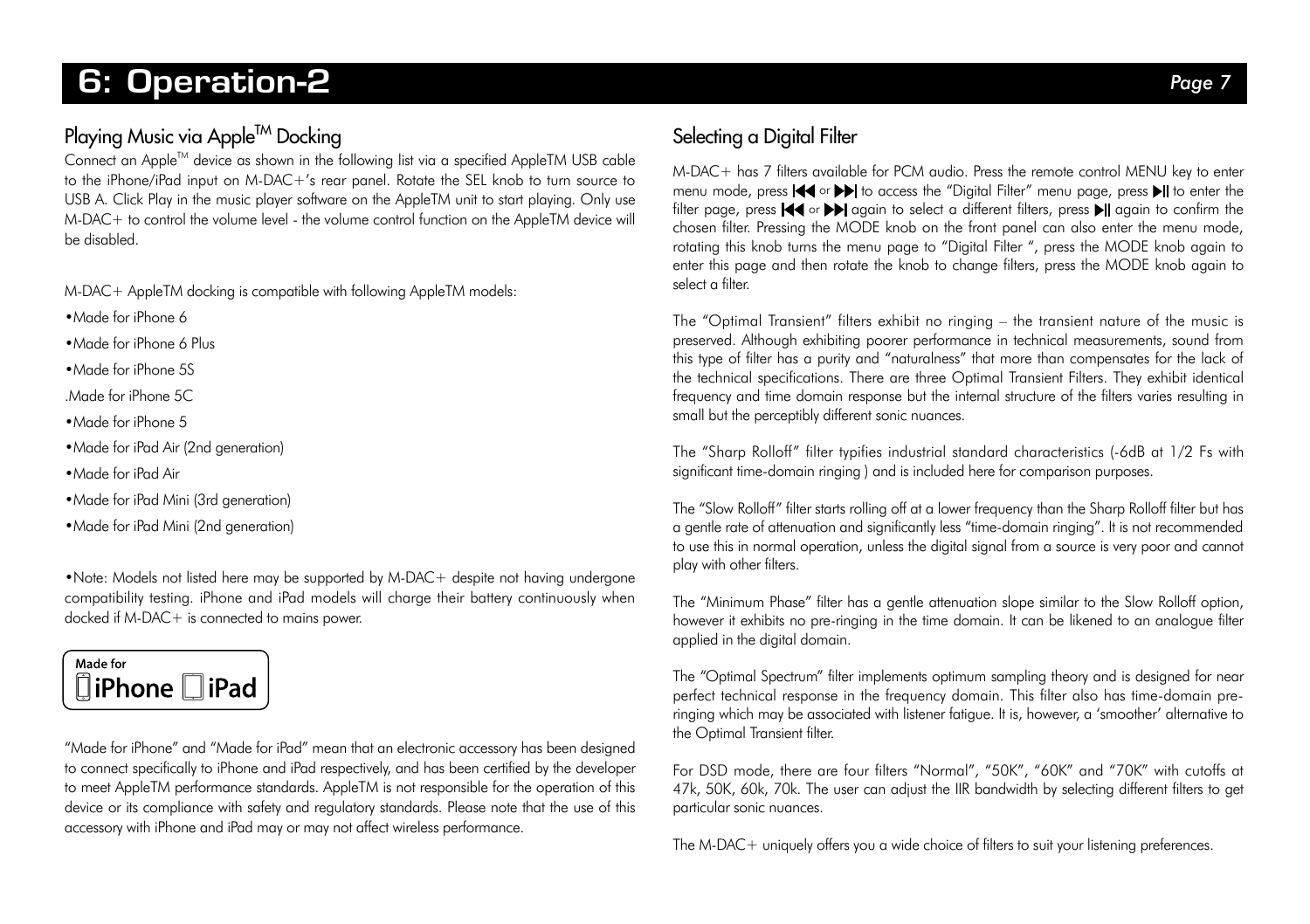### **2.** Operation-2 *Page 7 Page 7 Page 7*

### Playing Music via Apple™ Docking

Connect an AppleTM device as shown in the following list via a specified AppleTM USB cable to the iPhone/iPad input on M-DAC+'s rear panel. Rotate the SEL knob to turn source to USB A. Click Play in the music player software on the AppleTM unit to start playing. Only use  $M-DAC+$  to control the volume level - the volume control function on the AppleTM device will be disabled.

M-DAC+ AppleTM docking is compatible with following AppleTM models:

•Made for iPhone 6

•Made for iPhone 6 Plus

•Made for iPhone 5S

.Made for iPhone 5C

•Made for iPhone 5

• Made for iPad Air (2nd generation)

•Made for iPad Air

•Made for iPad Mini (3rd generation)

•Made for iPad Mini (2nd generation)

•Note: Models not listed here may be supported by M-DAC+ despite not having undergone compatibility testing. iPhone and iPad models will charge their battery continuously when docked if M-DAC+ is connected to mains power.



"Made for iPhone" and "Made for iPad" mean that an electronic accessory has been designed to connect specifically to iPhone and iPad respectively, and has been certified by the developer to meet AppleTM performance standards. AppleTM is not responsible for the operation of this device or its compliance with safety and regulatory standards. Please note that the use of this accessory with iPhone and iPad may or may not affect wireless performance.

### Selecting a Digital Filter

M-DAC+ has 7 filters available for PCM audio. Press the remote control MENU key to enter menu mode, press  $\blacktriangleleft \blacktriangleleft$  or  $\blacktriangleright \blacktriangleright$  to access the "Digital Filter" menu page, press  $\blacktriangleright$  to enter the filter page, press  $\blacktriangleleft$  or  $\blacktriangleright$  again to select a different filters, press  $\blacktriangleright$  again to confirm the chosen filter. Pressing the MODE knob on the front panel can also enter the menu mode, rotating this knob turns the menu page to "Digital Filter ", press the MODE knob again to enter this page and then rotate the knob to change filters, press the MODE knob again to select a filter.

The "Optimal Transient" filters exhibit no ringing – the transient nature of the music is preserved. Although exhibiting poorer performance in technical measurements, sound from this type of filter has a purity and "naturalness" that more than compensates for the lack of the technical specifications. There are three Optimal Transient Filters. They exhibit identical frequency and time domain response but the internal structure of the filters varies resulting in small but the perceptibly different sonic nuances.

The "Sharp Rolloff" filter typifies industrial standard characteristics (-6dB at 1/2 Fs with significant time-domain ringing ) and is included here for comparison purposes.

The "Slow Rolloff" filter starts rolling off at a lower frequency than the Sharp Rolloff filter but has a gentle rate of attenuation and significantly less "time-domain ringing". It is not recommended to use this in normal operation, unless the digital signal from a source is very poor and cannot play with other filters.

The "Minimum Phase" filter has a gentle attenuation slope similar to the Slow Rolloff option, however it exhibits no pre-ringing in the time domain. It can be likened to an analogue filter applied in the digital domain.

The "Optimal Spectrum" filter implements optimum sampling theory and is designed for near perfect technical response in the frequency domain. This filter also has time-domain preringing which may be associated with listener fatigue. It is, however, a 'smoother' alternative to the Optimal Transient filter.

For DSD mode, there are four filters "Normal", "50K", "60K" and "70K" with cutoffs at 47k, 50K, 60k, 70k. The user can adjust the IIR bandwidth by selecting different filters to get particular sonic nuances.

The M-DAC+ uniquely offers you a wide choice of filters to suit your listening preferences.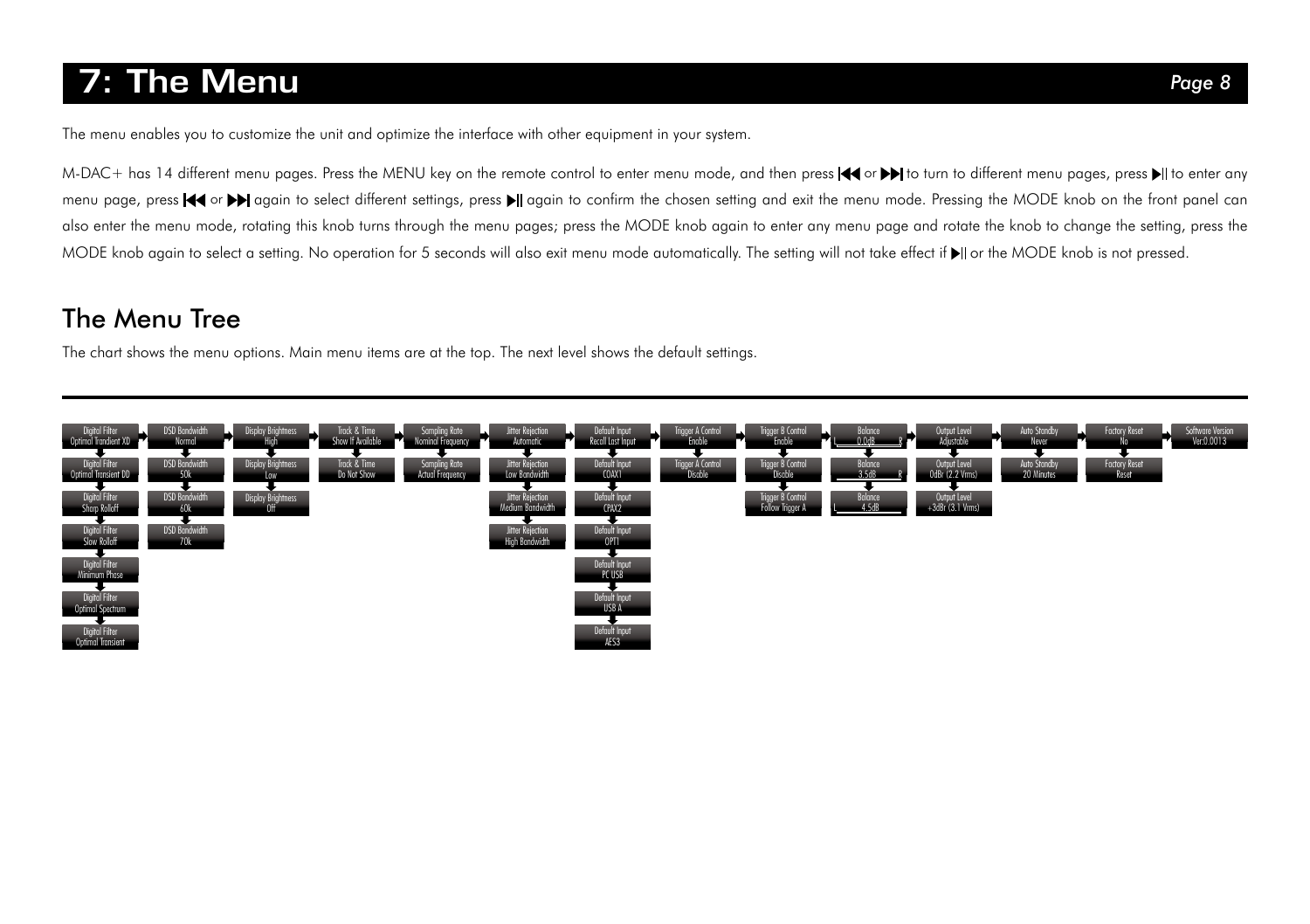### 7: The Menu *Page 8*

The menu enables you to customize the unit and optimize the interface with other equipment in your system.

M-DAC+ has 14 different menu pages. Press the MENU key on the remote control to enter menu mode, and then press  $\blacktriangleleft$  or  $\blacktriangleright$  to turn to different menu pages, press  $\blacktriangleright$  to enter any menu page, press << or >>>
again to select different settings, press >|| again to confirm the chosen setting and exit the menu mode. Pressing the MODE knob on the front panel can also enter the menu mode, rotating this knob turns through the menu pages; press the MODE knob again to enter any menu page and rotate the knob to change the setting, press the MODE knob again to select a setting. No operation for 5 seconds will also exit menu mode automatically. The setting will not take effect if  $\blacktriangleright$  or the MODE knob is not pressed.

### The Menu Tree

The chart shows the menu options. Main menu items are at the top. The next level shows the default settings.

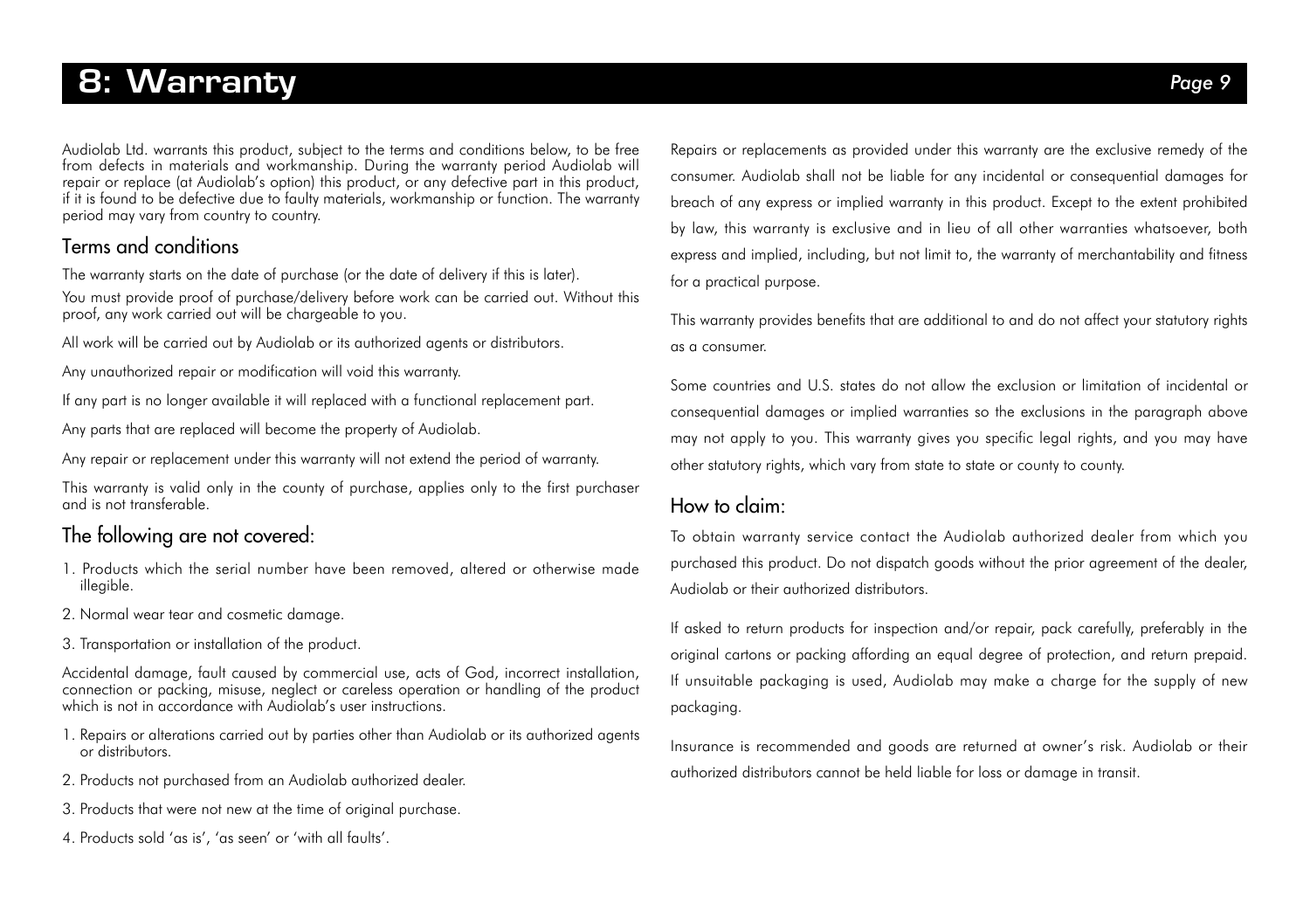### 8: Warranty *Page 9*

Audiolab Ltd. warrants this product, subject to the terms and conditions below, to be free from defects in materials and workmanship. During the warranty period Audiolab will repair or replace (at Audiolab's option) this product, or any defective part in this product, if it is found to be defective due to faulty materials, workmanship or function. The warranty period may vary from country to country.

### Terms and conditions

The warranty starts on the date of purchase (or the date of delivery if this is later).

You must provide proof of purchase/delivery before work can be carried out. Without this proof, any work carried out will be chargeable to you.

All work will be carried out by Audiolab or its authorized agents or distributors.

Any unauthorized repair or modification will void this warranty.

If any part is no longer available it will replaced with a functional replacement part.

Any parts that are replaced will become the property of Audiolab.

Any repair or replacement under this warranty will not extend the period of warranty.

This warranty is valid only in the county of purchase, applies only to the first purchaser and is not transferable.

#### The following are not covered:

- 1. Products which the serial number have been removed, altered or otherwise made illegible.
- 2. Normal wear tear and cosmetic damage.
- 3. Transportation or installation of the product.

Accidental damage, fault caused by commercial use, acts of God, incorrect installation, connection or packing, misuse, neglect or careless operation or handling of the product which is not in accordance with Audiolab's user instructions.

- 1. Repairs or alterations carried out by parties other than Audiolab or its authorized agents or distributors.
- 2. Products not purchased from an Audiolab authorized dealer.
- 3. Products that were not new at the time of original purchase.
- 4. Products sold 'as is', 'as seen' or 'with all faults'.

Repairs or replacements as provided under this warranty are the exclusive remedy of the consumer. Audiolab shall not be liable for any incidental or consequential damages for breach of any express or implied warranty in this product. Except to the extent prohibited by law, this warranty is exclusive and in lieu of all other warranties whatsoever, both express and implied, including, but not limit to, the warranty of merchantability and fitness for a practical purpose.

This warranty provides benefits that are additional to and do not affect your statutory rights as a consumer.

Some countries and U.S. states do not allow the exclusion or limitation of incidental or consequential damages or implied warranties so the exclusions in the paragraph above may not apply to you. This warranty gives you specific legal rights, and you may have other statutory rights, which vary from state to state or county to county.

#### How to claim:

To obtain warranty service contact the Audiolab authorized dealer from which you purchased this product. Do not dispatch goods without the prior agreement of the dealer, Audiolab or their authorized distributors.

If asked to return products for inspection and/or repair, pack carefully, preferably in the original cartons or packing affording an equal degree of protection, and return prepaid. If unsuitable packaging is used, Audiolab may make a charge for the supply of new packaging.

Insurance is recommended and goods are returned at owner's risk. Audiolab or their authorized distributors cannot be held liable for loss or damage in transit.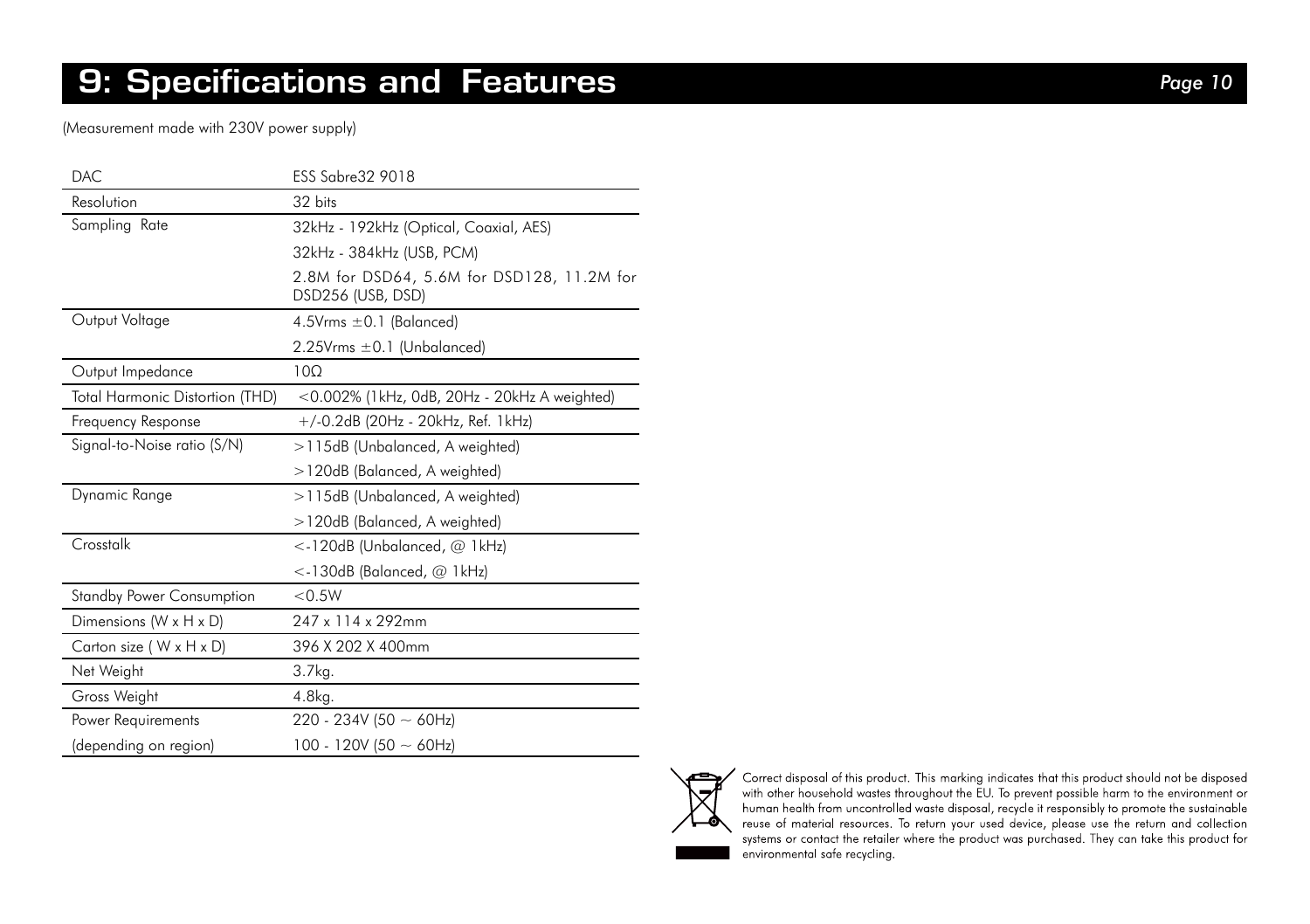### 9: Specifications and Features *Page 10*

(Measurement made with 230V power supply)

| DAC.                             | <b>ESS Sabre32 9018</b>                                         |
|----------------------------------|-----------------------------------------------------------------|
| Resolution                       | 32 bits                                                         |
| Sampling Rate                    | 32kHz - 192kHz (Optical, Coaxial, AES)                          |
|                                  | 32kHz - 384kHz (USB, PCM)                                       |
|                                  | 2.8M for DSD64, 5.6M for DSD128, 11.2M for<br>DSD256 (USB, DSD) |
| Output Voltage                   | 4.5V $rms \pm 0.1$ (Balanced)                                   |
|                                  | $2.25V$ rms $\pm 0.1$ (Unbalanced)                              |
| Output Impedance                 | 100                                                             |
| Total Harmonic Distortion (THD)  | <0.002% (1kHz, 0dB, 20Hz - 20kHz A weighted)                    |
| Frequency Response               | +/-0.2dB (20Hz - 20kHz, Ref. 1kHz)                              |
| Signal-to-Noise ratio (S/N)      | >115dB (Unbalanced, A weighted)                                 |
|                                  | >120dB (Balanced, A weighted)                                   |
| Dynamic Range                    | >115dB (Unbalanced, A weighted)                                 |
|                                  | >120dB (Balanced, A weighted)                                   |
| Crosstalk                        | <-120dB (Unbalanced, @ 1kHz)                                    |
|                                  | $\lt$ -130dB (Balanced, $@$ 1kHz)                               |
| <b>Standby Power Consumption</b> | < 0.5W                                                          |
| Dimensions (W x H x D)           | 247 x 114 x 292mm                                               |
| Carton size (W x H x D)          | 396 X 202 X 400mm                                               |
| Net Weight                       | 3.7kg.                                                          |
| Gross Weight                     | 4.8kg.                                                          |
| Power Requirements               | 220 - 234V (50 $\sim$ 60Hz)                                     |
| (depending on region)            | 100 - 120V (50 $\sim$ 60Hz)                                     |



systems or contact the retailer where the product was purchased. They can take this product for environmental safe recycling.